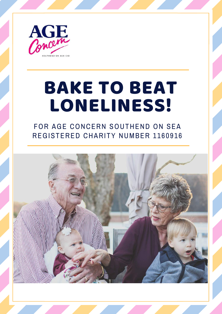

# BAKE TO BEAT LONELINESS!

FOR AGE CONCERN SOUTHEND ON SEA REGISTERED CHARITY NUMBER 1160916

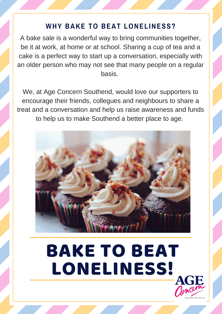#### **WHY BAKE TO BEAT LONELINESS?**

A bake sale is a wonderful way to bring communities together, be it at work, at home or at school. Sharing a cup of tea and a cake is a perfect way to start up a conversation, especially with an older person who may not see that many people on a regular basis.

We, at Age Concern Southend, would love our supporters to encourage their friends, collegues and neighbours to share a treat and a conversation and help us raise awareness and funds to help us to make Southend a better place to age.



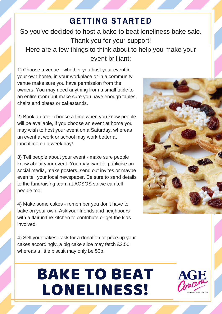### **GETTING STARTED**

So you've decided to host a bake to beat loneliness bake sale. Thank you for your support! Here are a few things to think about to help you make your event brilliant:

1) Choose a venue - whether you host your event in your own home, in your workplace or in a community venue make sure you have permission from the owners. You may need anything from a small table to an entire room but make sure you have enough tables, chairs and plates or cakestands.

2) Book a date - choose a time when you know people will be available, if you choose an event at home you may wish to host your event on a Saturday, whereas an event at work or school may work better at lunchtime on a week day!

3) Tell people about your event - make sure people know about your event. You may want to publicise on social media, make posters, send out invites or maybe even tell your local newspaper. Be sure to send details to the fundraising team at ACSOS so we can tell people too!

4) Make some cakes - remember you don't have to bake on your own! Ask your friends and neighbours with a flair in the kitchen to contribute or get the kids involved.

4) Sell your cakes - ask for a donation or price up your cakes accordingly, a big cake slice may fetch £2.50 whereas a little biscuit may only be 50p.



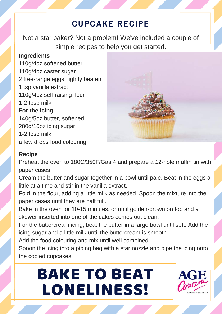### **CUPCAKE RECIPE**

Not a star baker? Not a problem! We've included a couple of simple recipes to help you get started.

#### **Ingredients**

110g/4oz softened butter 110g/4oz caster sugar 2 free-range eggs, lightly beaten 1 tsp vanilla extract 110g/4oz self-raising flour 1-2 tbsp milk **For the icing** 140g/5oz butter, softened 280g/10oz icing sugar 1-2 tbsp milk a few drops food colouring



#### **Recipe**

Preheat the oven to 180C/350F/Gas 4 and prepare a 12-hole muffin tin with paper cases.

Cream the butter and sugar together in a bowl until pale. Beat in the eggs a little at a time and stir in the vanilla extract.

Fold in the flour, adding a little milk as needed. Spoon the mixture into the paper cases until they are half full.

Bake in the oven for 10-15 minutes, or until golden-brown on top and a skewer inserted into one of the cakes comes out clean.

For the buttercream icing, beat the butter in a large bowl until soft. Add the icing sugar and a little milk until the buttercream is smooth.

Add the food colouring and mix until well combined.

Spoon the icing into a piping bag with a star nozzle and pipe the icing onto the cooled cupcakes!

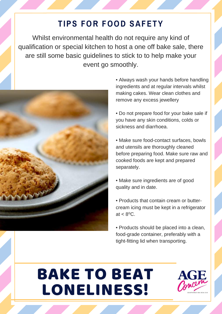### **TIPS FOR FOOD SAFETY**

Whilst environmental health do not require any kind of qualification or special kitchen to host a one off bake sale, there are still some basic guidelines to stick to to help make your event go smoothly.



• Always wash your hands before handling ingredients and at regular intervals whilst making cakes. Wear clean clothes and remove any excess jewellery

• Do not prepare food for your bake sale if you have any skin conditions, colds or sickness and diarrhoea.

• Make sure food-contact surfaces, bowls and utensils are thoroughly cleaned before preparing food. Make sure raw and cooked foods are kept and prepared separately.

• Make sure ingredients are of good quality and in date.

• Products that contain cream or buttercream icing must be kept in a refrigerator at  $< 8^{\circ}$ C.

• Products should be placed into a clean, food-grade container, preferably with a tight-fitting lid when transporting.

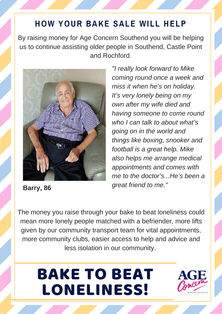### **HOW YOUR BAKE SALE WILL HELP**

By raising money for Age Concern Southend you will be helping us to continue assisting older people in Southend, Castle Point and Rochford.



**Barry, 86**

*"I really look forward to Mike coming round once a week and miss it when he's on holiday. It's very lonely being on my own after my wife died and having someone to come round who I can talk to about what's going on in the world and things like boxing, snooker and football is a great help. Mike also helps me arrange medical appointments and comes with me to the doctor's...He's been a great friend to me."*

The money you raise through your bake to beat loneliness could mean more lonely people matched with a befriender, more lifts given by our community transport team for vital appointments, more community clubs, easier access to help and advice and less isolation in our community.

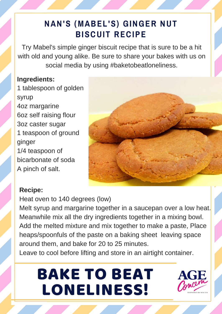### **NAN'S (MABEL'S) GINGER NUT BISCUIT RECIPE**

Try Mabel's simple ginger biscuit recipe that is sure to be a hit with old and young alike. Be sure to share your bakes with us on social media by using #baketobeatloneliness.

#### **Ingredients:**

1 tablespoon of golden syrup 4oz margarine 6oz self raising flour 3oz caster sugar 1 teaspoon of ground ginger 1/4 teaspoon of bicarbonate of soda A pinch of salt.



#### **Recipe:**

Heat oven to 140 degrees (low) Melt syrup and margarine together in a saucepan over a low heat. Meanwhile mix all the dry ingredients together in a mixing bowl. Add the melted mixture and mix together to make a paste, Place heaps/spoonfuls of the paste on a baking sheet leaving space around them, and bake for 20 to 25 minutes.

Leave to cool before lifting and store in an airtight container.

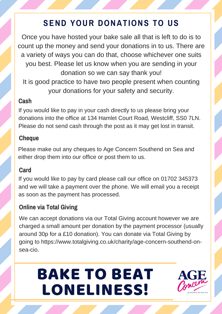### **SEND YOUR DONATIONS TO US**

Once you have hosted your bake sale all that is left to do is to count up the money and send your donations in to us. There are a variety of ways you can do that, choose whichever one suits you best. Please let us know when you are sending in your donation so we can say thank you! It is good practice to have two people present when counting your donations for your safety and security.

#### **Cash**

If you would like to pay in your cash directly to us please bring your donations into the office at 134 Hamlet Court Road, Westcliff, SS0 7LN. Please do not send cash through the post as it may get lost in transit.

#### **Cheque**

Please make out any cheques to Age Concern Southend on Sea and either drop them into our office or post them to us.

#### **Card**

If you would like to pay by card please call our office on 01702 345373 and we will take a payment over the phone. We will email you a receipt as soon as the payment has processed.

#### **Online via Total Giving**

We can accept donations via our Total Giving account however we are charged a small amount per donation by the payment processor (usually around 30p for a £10 donation). You can donate via Total Giving by going to https://www.totalgiving.co.uk/charity/age-concern-southend-onsea-cio.

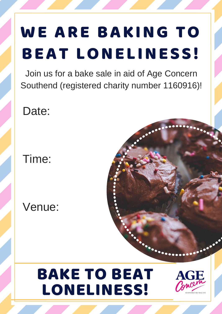# WE ARE BAKING TO BEAT LONELINESS!

Join us for a bake sale in aid of Age Concern Southend (registered charity number 1160916)!

Date:

Time:

Venue: